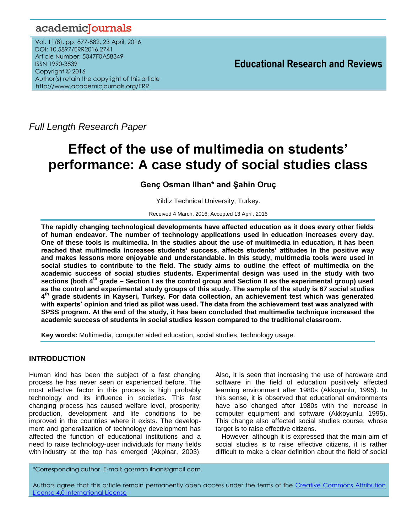## academicJournals

Vol. 11(8), pp. 877-882, 23 April, 2016 DOI: 10.5897/ERR2016.2741 Article Number: 5047F0A58349 ISSN 1990-3839 Copyright © 2016 Author(s) retain the copyright of this article http://www.academicjournals.org/ERR

**Educational Research and Reviews**

*Full Length Research Paper*

# **Effect of the use of multimedia on students' performance: A case study of social studies class**

## **Genç Osman Ilhan\* and Şahin Oruç**

Yildiz Technical University, Turkey.

Received 4 March, 2016; Accepted 13 April, 2016

**The rapidly changing technological developments have affected education as it does every other fields of human endeavor. The number of technology applications used in education increases every day. One of these tools is multimedia. In the studies about the use of multimedia in education, it has been reached that multimedia increases students' success, affects students' attitudes in the positive way and makes lessons more enjoyable and understandable. In this study, multimedia tools were used in social studies to contribute to the field. The study aims to outline the effect of multimedia on the academic success of social studies students. Experimental design was used in the study with two sections (both 4th grade – Section I as the control group and Section II as the experimental group) used as the control and experimental study groups of this study. The sample of the study is 67 social studies 4 th grade students in Kayseri, Turkey. For data collection, an achievement test which was generated with experts' opinion and tried as pilot was used. The data from the achievement test was analyzed with SPSS program. At the end of the study, it has been concluded that multimedia technique increased the academic success of students in social studies lesson compared to the traditional classroom.** 

**Key words:** Multimedia, computer aided education, social studies, technology usage.

## **INTRODUCTION**

Human kind has been the subject of a fast changing process he has never seen or experienced before. The most effective factor in this process is high probably technology and its influence in societies. This fast changing process has caused welfare level, prosperity, production, development and life conditions to be improved in the countries where it exists. The development and generalization of technology development has affected the function of educational institutions and a need to raise technology-user individuals for many fields with industry at the top has emerged (Akpinar, 2003). Also, it is seen that increasing the use of hardware and software in the field of education positively affected learning environment after 1980s (Akkoyunlu, 1995). In this sense, it is observed that educational environments have also changed after 1980s with the increase in computer equipment and software (Akkoyunlu, 1995). This change also affected social studies course, whose target is to raise effective citizens.

However, although it is expressed that the main aim of social studies is to raise effective citizens, it is rather difficult to make a clear definition about the field of social

\*Corresponding author. E-mail: gosman.ilhan@gmail.com.

Authors agree that this article remain permanently open access under the terms of the Creative Commons Attribution [License 4.0 International License](file://192.168.1.24/reading/Arts%20and%20Education/ERR/2014/sept/read/Correction%20Pdf%201/ERR-17.04.14-1816/Publication/Creative%20Co)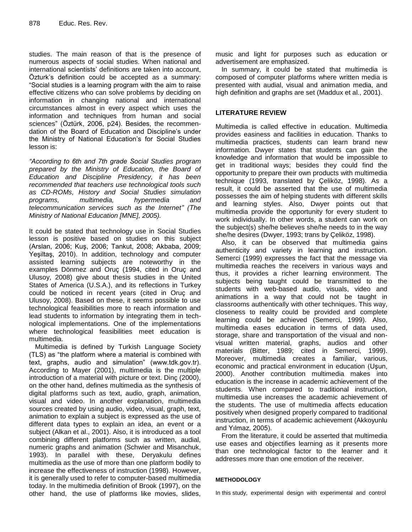studies. The main reason of that is the presence of numerous aspects of social studies. When national and international scientists' definitions are taken into account, Özturk"s definition could be accepted as a summary: "Social studies is a learning program with the aim to raise effective citizens who can solve problems by deciding on information in changing national and international circumstances almost in every aspect which uses the information and techniques from human and social sciences" (Öztürk, 2006, p24). Besides, the recommendation of the Board of Education and Discipline"s under the Ministry of National Education"s for Social Studies lesson is:

*"According to 6th and 7th grade Social Studies program prepared by the Ministry of Education, the Board of Education and Discipline Presidency, it has been recommended that teachers use technological tools such as CD-ROMs, History and Social Studies simulation programs, multimedia, hypermedia and telecommunication services such as the Internet" (The Ministry of National Education [MNE], 2005).*

It could be stated that technology use in Social Studies lesson is positive based on studies on this subject (Arslan, 2006; Kuş, 2006; Tankut, 2008; Akbaba, 2009; Yeşiltaş, 2010). In addition, technology and computer assisted learning subjects are noteworthy in the examples Dönmez and Oruç (1994, cited in Oruç and Ulusoy, 2008) give about thesis studies in the United States of America (U.S.A.), and its reflections in Turkey could be noticed in recent years (cited in Oruç and Ulusoy, 2008). Based on these, it seems possible to use technological feasibilities more to reach information and lead students to information by integrating them in technological implementations. One of the implementations where technological feasibilities meet education is multimedia.

Multimedia is defined by Turkish Language Society (TLS) as "the platform where a material is combined with text, graphs, audio and simulation" (www.tdk.gov.tr). According to Mayer (2001), multimedia is the multiple introduction of a material with picture or text. Dinç (2000), on the other hand, defines multimedia as the synthesis of digital platforms such as text, audio, graph, animation, visual and video. In another explanation, multimedia sources created by using audio, video, visual, graph, text, animation to explain a subject is expressed as the use of different data types to explain an idea, an event or a subject (Alkan et al., 2001). Also, it is introduced as a tool combining different platforms such as written, audial, numeric graphs and animation (Schwier and Misanchuk, 1993). In parallel with these, Deryakulu defines multimedia as the use of more than one platform bodily to increase the effectiveness of instruction (1998). However, it is generally used to refer to computer-based multimedia today. In the multimedia definition of Brook (1997), on the other hand, the use of platforms like movies, slides,

music and light for purposes such as education or advertisement are emphasized.

In summary, it could be stated that multimedia is composed of computer platforms where written media is presented with audial, visual and animation media, and high definition and graphs are set (Maddux et al., 2001).

## **LITERATURE REVIEW**

Multimedia is called effective in education. Multimedia provides easiness and facilities in education. Thanks to multimedia practices, students can learn brand new information. Dwyer states that students can gain the knowledge and information that would be impossible to get in traditional ways; besides they could find the opportunity to prepare their own products with multimedia technique (1993, translated by Çeliköz, 1998). As a result, it could be asserted that the use of multimedia possesses the aim of helping students with different skills and learning styles. Also, Dwyer points out that multimedia provide the opportunity for every student to work individually. In other words, a student can work on the subject(s) she/he believes she/he needs to in the way she/he desires (Dwyer, 1993; trans by Çeliköz, 1998).

Also, it can be observed that multimedia gains authenticity and variety in learning and instruction. Semerci (1999) expresses the fact that the message via multimedia reaches the receivers in various ways and thus, it provides a richer learning environment. The subjects being taught could be transmitted to the students with web-based audio, visuals, video and animations in a way that could not be taught in classrooms authentically with other techniques. This way, closeness to reality could be provided and complete learning could be achieved (Semerci, 1999). Also, multimedia eases education in terms of data used, storage, share and transportation of the visual and nonvisual written material, graphs, audios and other materials (Bitter, 1989; cited in Semerci, 1999). Moreover, multimedia creates a familiar, various, economic and practical environment in education (Uşun, 2000). Another contribution multimedia makes into education is the increase in academic achievement of the students. When compared to traditional instruction, multimedia use increases the academic achievement of the students. The use of multimedia affects education positively when designed properly compared to traditional instruction, in terms of academic achievement (Akkoyunlu and Yılmaz, 2005).

From the literature, it could be asserted that multimedia use eases and objectifies learning as it presents more than one technological factor to the learner and it addresses more than one emotion of the receiver.

#### **METHODOLOGY**

In this study, experimental design with experimental and control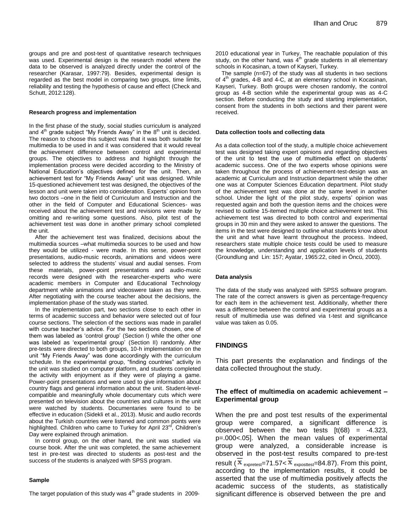groups and pre and post-test of quantitative research techniques was used. Experimental design is the research model where the data to be observed is analyzed directly under the control of the researcher (Karasar, 1997:79). Besides, experimental design is regarded as the best model in comparing two groups, time limits, reliability and testing the hypothesis of cause and effect (Check and Schutt, 2012:128).

#### **Research progress and implementation**

In the first phase of the study, social studies curriculum is analyzed and  $4<sup>th</sup>$  grade subject "My Friends Away" in the  $8<sup>th</sup>$  unit is decided. The reason to choose this subject was that it was both suitable for multimedia to be used in and it was considered that it would reveal the achievement difference between control and experimental groups. The objectives to address and highlight through the implementation process were decided according to the Ministry of National Education"s objectives defined for the unit. Then, an achievement test for "My Friends Away" unit was designed. While 15-questioned achievement test was designed, the objectives of the lesson and unit were taken into consideration. Experts' opinion from two doctors –one in the field of Curriculum and Instruction and the other in the field of Computer and Educational Sciences- was received about the achievement test and revisions were made by omitting and re-writing some questions. Also, pilot test of the achievement test was done in another primary school completed the unit.

After the achievement test was finalized, decisions about the multimedia sources –what multimedia sources to be used and how they would be utilized - were made. In this sense, power-point presentations, audio-music records, animations and videos were selected to address the students' visual and audial senses. From these materials, power-point presentations and audio-music records were designed with the researcher-experts who were academic members in Computer and Educational Technology department while animations and videoswere taken as they were. After negotiating with the course teacher about the decisions, the implementation phase of the study was started.

In the implementation part, two sections close to each other in terms of academic success and behavior were selected out of four course sections. The selection of the sections was made in parallel with course teacher"s advice. For the two sections chosen, one of them was labeled as "control group" (Section I) while the other one was labeled as 'experimental group' (Section II) randomly. After pre-tests were directed to both groups, 10-h implementation on the unit "My Friends Away" was done accordingly with the curriculum schedule. In the experimental group, "finding countries" activity in the unit was studied on computer platform, and students completed the activity with enjoyment as if they were of playing a game. Power-point presentations and were used to give information about country flags and general information about the unit. Student-levelcompatible and meaningfully whole documentary cuts which were presented on television about the countries and cultures in the unit were watched by students. Documentaries were found to be effective in education (Sidekli et al., 2013). Music and audio records about the Turkish countries were listened and common points were highlighted. Children who came to Turkey for April 23rd, Children's Day were explained through animation.

In control group, on the other hand, the unit was studied via course book. After the unit was completed, the same achievement test in pre-test was directed to students as post-test and the success of the students is analyzed with SPSS program.

#### **Sample**

The target population of this study was  $4<sup>th</sup>$  grade students in 2009-

2010 educational year in Turkey. The reachable population of this study, on the other hand, was  $4<sup>th</sup>$  grade students in all elementary schools in Kocasinan, a town of Kayseri, Turkey.

The sample (n=67) of the study was all students in two sections of  $4<sup>th</sup>$  grades, 4-B and 4-C, at an elementary school in Kocasinan, Kayseri, Turkey. Both groups were chosen randomly, the control group as 4-B section while the experimental group was as 4-C section. Before conducting the study and starting implementation, consent from the students in both sections and their parent were received.

#### **Data collection tools and collecting data**

As a data collection tool of the study, a multiple choice achievement test was designed taking expert opinions and regarding objectives of the unit to test the use of multimedia effect on students" academic success. One of the two experts whose opinions were taken throughout the process of achievement-test-design was an academic at Curriculum and Instruction department while the other one was at Computer Sciences Education department. Pilot study of the achievement test was done at the same level in another school. Under the light of the pilot study, experts' opinion was requested again and both the question items and the choices were revised to outline 15-itemed multiple choice achievement test. This achievement test was directed to both control and experimental groups in 30 min and they were asked to answer the questions. The items in the test were designed to outline what students know about the unit and what have learnt throughout the process. Indeed, researchers state multiple choice tests could be used to measure the knowledge, understanding and application levels of students (Groundlung and Lin: 157; Ayatar, 1965:22, cited in Öncü, 2003).

#### **Data analysis**

The data of the study was analyzed with SPSS software program. The rate of the correct answers is given as percentage-frequency for each item in the achievement test. Additionally, whether there was a difference between the control and experimental groups as a result of multimedia use was defined via t-test and significance value was taken as 0.05.

#### **FINDINGS**

This part presents the explanation and findings of the data collected throughout the study.

#### **The effect of multimedia on academic achievement – Experimental group**

When the pre and post test results of the experimental group were compared, a significant difference is observed between the two tests  $[t(68) = -4.323]$ , p=.000<.05]. When the mean values of experimental group were analyzed, a considerable increase is observed in the post-test results compared to pre-test result ( $X_{\text{expretest}}$ =71.57<  $X_{\text{exposttest}}$ =84.87). From this point, according to the implementation results, it could be asserted that the use of multimedia positively affects the academic success of the students, as statistically significant difference is observed between the pre and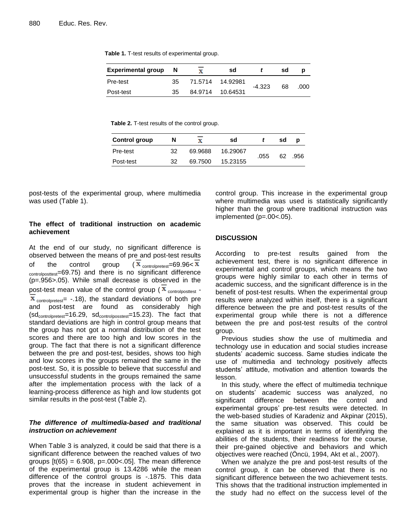**Table 1.** T-test results of experimental group.

| <b>Experimental group</b> | - N | sd               |          | sd |      |
|---------------------------|-----|------------------|----------|----|------|
| Pre-test                  | 35  | 71.5714 14.92981 | $-4.323$ | 68 | .000 |
| Post-test                 | 35  | 84.9714 10.64531 |          |    |      |

**Table 2.** T-test results of the control group.

| <b>Control group</b> | N  | x       | sd       |      | sd | Ŋ    |
|----------------------|----|---------|----------|------|----|------|
| Pre-test             | 32 | 69.9688 | 16.29067 | .055 | 62 | .956 |
| Post-test            | 32 | 69.7500 | 15.23155 |      |    |      |

post-tests of the experimental group, where multimedia was used (Table 1).

#### **The effect of traditional instruction on academic achievement**

At the end of our study, no significant difference is observed between the means of pre and post-test results of the control group  $(X_{\text{controlpretest}}=69.96 < X)$ controlposttest=69.75) and there is no significant difference (p=.956>.05). While small decrease is observed in the post-test mean value of the control group ( $\overline{\mathbf{x}}$  controlposttest - $\overline{\mathbf{x}}$  controlpretest = -.18), the standard deviations of both pre and post-test are found as considerably high  $(sd_{\text{controlpretest}}=16.29, sd_{\text{controlposstest}}=15.23)$ . The fact that standard deviations are high in control group means that the group has not got a normal distribution of the test scores and there are too high and low scores in the group. The fact that there is not a significant difference between the pre and post-test, besides, shows too high and low scores in the groups remained the same in the post-test. So, it is possible to believe that successful and unsuccessful students in the groups remained the same after the implementation process with the lack of a learning-process difference as high and low students got similar results in the post-test (Table 2).

#### *The difference of multimedia-based and traditional instruction on achievement*

When Table 3 is analyzed, it could be said that there is a significant difference between the reached values of two groups  $[t(65) = 6.908, p=.000<.05]$ . The mean difference of the experimental group is 13.4286 while the mean difference of the control groups is -.1875. This data proves that the increase in student achievement in experimental group is higher than the increase in the control group. This increase in the experimental group where multimedia was used is statistically significantly higher than the group where traditional instruction was implemented (p=.00<.05).

#### **DISCUSSION**

According to pre-test results gained from the achievement test, there is no significant difference in experimental and control groups, which means the two groups were highly similar to each other in terms of academic success, and the significant difference is in the benefit of post-test results. When the experimental group results were analyzed within itself, there is a significant difference between the pre and post-test results of the experimental group while there is not a difference between the pre and post-test results of the control group.

Previous studies show the use of multimedia and technology use in education and social studies increase students" academic success. Same studies indicate the use of multimedia and technology positively affects students' attitude, motivation and attention towards the lesson.

In this study, where the effect of multimedia technique on students" academic success was analyzed, no significant difference between the control and experimental groups' pre-test results were detected. In the web-based studies of Karadeniz and Akpinar (2015), the same situation was observed. This could be explained as it is important in terms of identifying the abilities of the students, their readiness for the course, their pre-gained objective and behaviors and which objectives were reached (Öncü, 1994, Akt et al., 2007).

When we analyze the pre and post-test results of the control group, it can be observed that there is no significant difference between the two achievement tests. This shows that the traditional instruction implemented in the study had no effect on the success level of the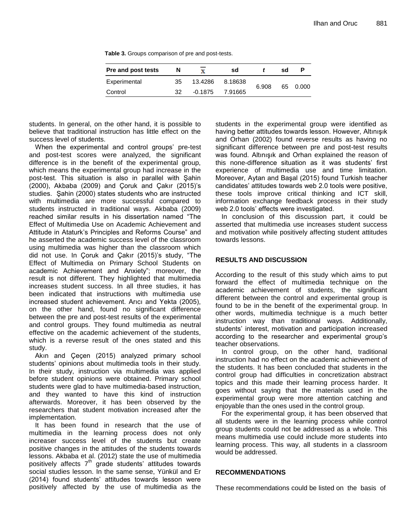**Table 3.** Groups comparison of pre and post-tests.

| <b>Pre and post tests</b> | N  | x         | sd      |       | sd |          |
|---------------------------|----|-----------|---------|-------|----|----------|
| Experimental              | 35 | 13.4286   | 8.18638 | 6.908 |    | 65 0.000 |
| Control                   | 32 | $-0.1875$ | 7.91665 |       |    |          |

students. In general, on the other hand, it is possible to believe that traditional instruction has little effect on the success level of students.

When the experimental and control groups' pre-test and post-test scores were analyzed, the significant difference is in the benefit of the experimental group, which means the experimental group had increase in the post-test. This situation is also in parallel with Şahin (2000), Akbaba (2009) and Çoruk and Çakır (2015)"s studies. Şahin (2000) states students who are instructed with multimedia are more successful compared to students instructed in traditional ways. Akbaba (2009) reached similar results in his dissertation named "The Effect of Multimedia Use on Academic Achievement and Attitude in Ataturk"s Principles and Reforms Course" and he asserted the academic success level of the classroom using multimedia was higher than the classroom which did not use. In Çoruk and Çakır (2015)"s study, "The Effect of Multimedia on Primary School Students on academic Achievement and Anxiety"; moreover, the result is not different. They highlighted that multimedia increases student success. In all three studies, it has been indicated that instructions with multimedia use increased student achievement. Arıcı and Yekta (2005), on the other hand, found no significant difference between the pre and post-test results of the experimental and control groups. They found multimedia as neutral effective on the academic achievement of the students, which is a reverse result of the ones stated and this study.

Akın and Çeçen (2015) analyzed primary school students' opinions about multimedia tools in their study. In their study, instruction via multimedia was applied before student opinions were obtained. Primary school students were glad to have multimedia-based instruction, and they wanted to have this kind of instruction afterwards. Moreover, it has been observed by the researchers that student motivation increased after the implementation.

It has been found in research that the use of multimedia in the learning process does not only increaser success level of the students but create positive changes in the attitudes of the students towards lessons. Akbaba et al. (2012) state the use of multimedia positively affects  $7<sup>th</sup>$  grade students' attitudes towards social studies lesson. In the same sense, Yünkül and Er (2014) found students" attitudes towards lesson were positively affected by the use of multimedia as the

students in the experimental group were identified as having better attitudes towards lesson. However, Altınışık and Orhan (2002) found reverse results as having no significant difference between pre and post-test results was found. Altınışık and Orhan explained the reason of this none-difference situation as it was students' first experience of multimedia use and time limitation. Moreover, Aytan and Başal (2015) found Turkish teacher candidates" attitudes towards web 2.0 tools were positive, these tools improve critical thinking and ICT skill, information exchange feedback process in their study web 2.0 tools' effects were investigated.

In conclusion of this discussion part, it could be asserted that multimedia use increases student success and motivation while positively affecting student attitudes towards lessons.

#### **RESULTS AND DISCUSSION**

According to the result of this study which aims to put forward the effect of multimedia technique on the academic achievement of students, the significant different between the control and experimental group is found to be in the benefit of the experimental group. In other words, multimedia technique is a much better instruction way than traditional ways. Additionally, students' interest, motivation and participation increased according to the researcher and experimental group"s teacher observations.

In control group, on the other hand, traditional instruction had no effect on the academic achievement of the students. It has been concluded that students in the control group had difficulties in concretization abstract topics and this made their learning process harder. It goes without saying that the materials used in the experimental group were more attention catching and enjoyable than the ones used in the control group.

For the experimental group, it has been observed that all students were in the learning process while control group students could not be addressed as a whole. This means multimedia use could include more students into learning process. This way, all students in a classroom would be addressed.

#### **RECOMMENDATIONS**

These recommendations could be listed on the basis of